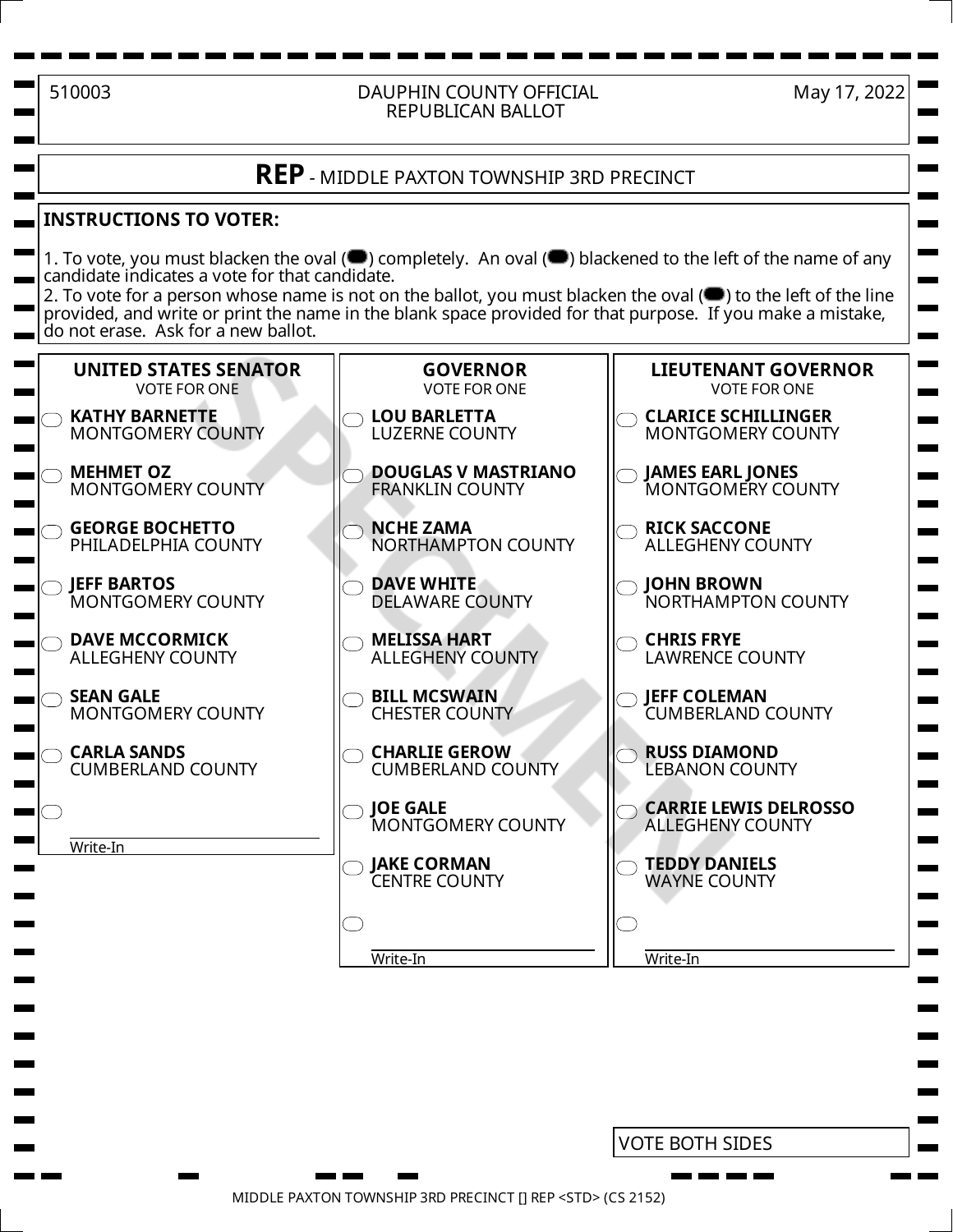## 510003 DAUPHIN COUNTY OFFICIAL REPUBLICAN BALLOT

## **REP** - MIDDLE PAXTON TOWNSHIP 3RD PRECINCT

## **INSTRUCTIONS TO VOTER:**

1. To vote, you must blacken the oval (●) completely. An oval (●) blackened to the left of the name of any candidate indicates a vote for that candidate.

2. To vote for a person whose name is not on the ballot, you must blacken the oval  $($ **)** to the left of the line provided, and write or print the name in the blank space provided for that purpose. If you make a mistake, do not erase. Ask for a new ballot.